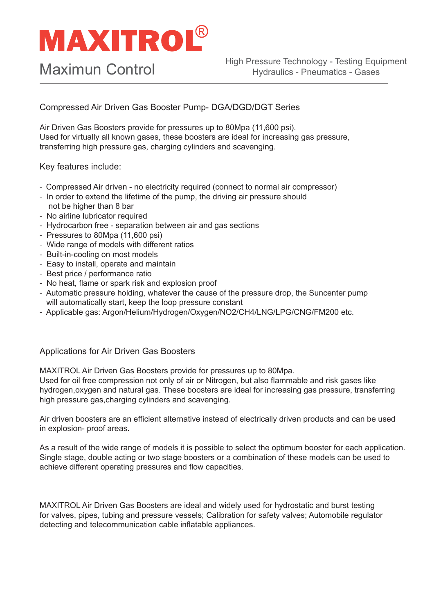## **MAXITROL®**

Compressed Air Driven Gas Booster Pump- DGA/DGD/DGT Series

Air Driven Gas Boosters provide for pressures up to 80Mpa (11,600 psi). Used for virtually all known gases, these boosters are ideal for increasing gas pressure, transferring high pressure gas, charging cylinders and scavenging.

Key features include:

- Compressed Air driven no electricity required (connect to normal air compressor)
- In order to extend the lifetime of the pump, the driving air pressure should not be higher than 8 bar
- No airline lubricator required
- Hydrocarbon free separation between air and gas sections
- Pressures to 80Mpa (11,600 psi)
- Wide range of models with different ratios
- Built-in-cooling on most models
- Easy to install, operate and maintain
- Best price / performance ratio
- No heat, flame or spark risk and explosion proof
- Automatic pressure holding, whatever the cause of the pressure drop, the Suncenter pump will automatically start, keep the loop pressure constant
- Applicable gas: Argon/Helium/Hydrogen/Oxygen/NO2/CH4/LNG/LPG/CNG/FM200 etc.

#### Applications for Air Driven Gas Boosters

MAXITROL Air Driven Gas Boosters provide for pressures up to 80Mpa.

Used for oil free compression not only of air or Nitrogen, but also flammable and risk gases like hydrogen,oxygen and natural gas. These boosters are ideal for increasing gas pressure, transferring high pressure gas,charging cylinders and scavenging.

Air driven boosters are an efficient alternative instead of electrically driven products and can be used in explosion- proof areas.

As a result of the wide range of models it is possible to select the optimum booster for each application. Single stage, double acting or two stage boosters or a combination of these models can be used to achieve different operating pressures and flow capacities.

MAXITROL Air Driven Gas Boosters are ideal and widely used for hydrostatic and burst testing for valves, pipes, tubing and pressure vessels; Calibration for safety valves; Automobile regulator detecting and telecommunication cable inflatable appliances.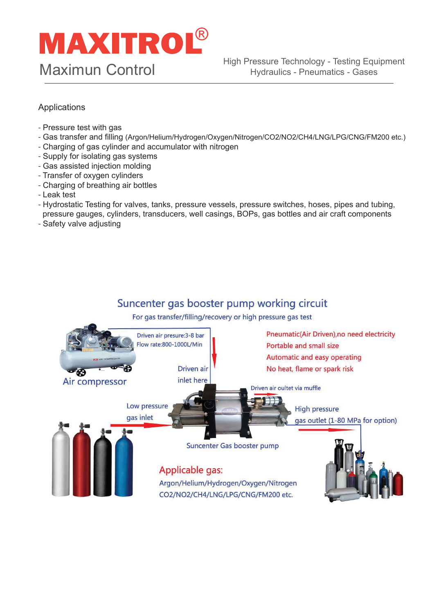### **MAXITROL®** Maximun Control

#### Applications

- Pressure test with gas
- Gas transfer and filling (Argon/Helium/Hydrogen/Oxygen/Nitrogen/CO2/NO2/CH4/LNG/LPG/CNG/FM200 etc.)
- Charging of gas cylinder and accumulator with nitrogen
- Supply for isolating gas systems
- Gas assisted injection molding
- Transfer of oxygen cylinders
- Charging of breathing air bottles
- Leak test
- Hydrostatic Testing for valves, tanks, pressure vessels, pressure switches, hoses, pipes and tubing, pressure gauges, cylinders, transducers, well casings, BOPs, gas bottles and air craft components
- Safety valve adjusting

#### Suncenter gas booster pump working circuit

For gas transfer/filling/recovery or high pressure gas test

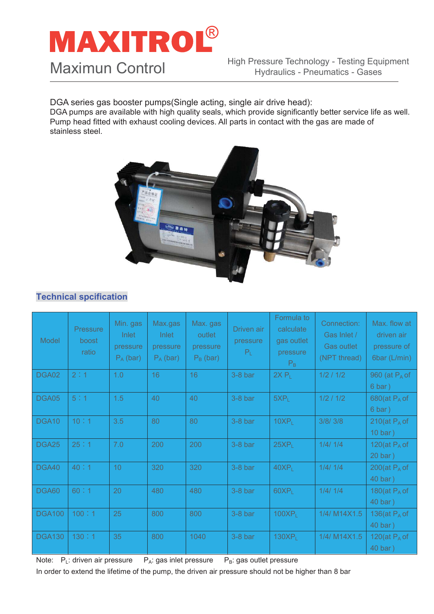## **MAXITROL®** Maximun Control

DGA series gas booster pumps(Single acting, single air drive head):

DGA pumps are available with high quality seals, which provide significantly better service life as well. Pump head fitted with exhaust cooling devices. All parts in contact with the gas are made of stainless steel.



#### **Technical spcification**

| Model         | <b>Pressure</b><br>boost<br>ratio | Min. gas<br>Inlet<br>pressure<br>$P_A$ (bar) | Max.gas<br>Inlet<br>pressure<br>$P_A$ (bar) | Max. gas<br>outlet<br>pressure<br>$P_B$ (bar) | Driven air<br>pressure<br>$P_L$ | Formula to<br>calculate<br>gas outlet<br>pressure<br>$P_{B}$ | Connection:<br>Gas Inlet /<br><b>Gas outlet</b><br>(NPT thread) | Max. flow at<br>driven air<br>pressure of<br>6bar (L/min) |
|---------------|-----------------------------------|----------------------------------------------|---------------------------------------------|-----------------------------------------------|---------------------------------|--------------------------------------------------------------|-----------------------------------------------------------------|-----------------------------------------------------------|
| DGA02         | 2:1                               | 1.0                                          | 16                                          | 16                                            | $3-8$ bar                       | $2X P_1$                                                     | 1/2 / 1/2                                                       | 960 (at $P_A$ of<br>$6 \text{ bar}$ )                     |
| DGA05         | 5:1                               | 1.5                                          | 40                                          | 40                                            | $3-8$ bar                       | $5XP_L$                                                      | 1/2 / 1/2                                                       | 680(at $P_A$ of<br>$6\,\mathrm{bar}$ )                    |
| DGA10         | 10:1                              | 3.5                                          | 80                                          | 80                                            | $3-8b$ ar                       | 10XP <sub>1</sub>                                            | 3/8/3/8                                                         | 210(at $P_A$ of<br>$10 \text{ bar}$ )                     |
| DGA25         | 25:1                              | 7.0                                          | 200                                         | 200                                           | $3-8$ bar                       | $25XP_L$                                                     | 1/4/1/4                                                         | 120(at $P_A$ of<br>$20 \text{ bar}$ )                     |
| DGA40         | 40:1                              | 10 <sup>°</sup>                              | 320                                         | 320                                           | $3-8$ bar                       | 40XP <sub>1</sub>                                            | 1/4/1/4                                                         | 200(at $P_A$ of<br>40 bar)                                |
| DGA60         | 60:1                              | 20                                           | 480                                         | 480                                           | $3-8$ bar                       | $60XP_L$                                                     | 1/4/1/4                                                         | 180(at $P_A$ of<br>40 bar)                                |
| <b>DGA100</b> | 100:1                             | 25                                           | 800                                         | 800                                           | $3-8$ bar                       | 100XP <sub>L</sub>                                           | 1/4/ M14X1.5                                                    | 136(at $P_A$ of<br>40 bar)                                |
| <b>DGA130</b> | 130:1                             | 35                                           | 800                                         | 1040                                          | $3-8$ bar                       | 130XP <sub>1</sub>                                           | 1/4/ M14X1.5                                                    | 120(at $P_A$ of<br>40 bar)                                |

Note:  $P_L$ : driven air pressure  $P_A$ : gas inlet pressure  $P_B$ : gas outlet pressure In order to extend the lifetime of the pump, the driven air pressure should not be higher than 8 bar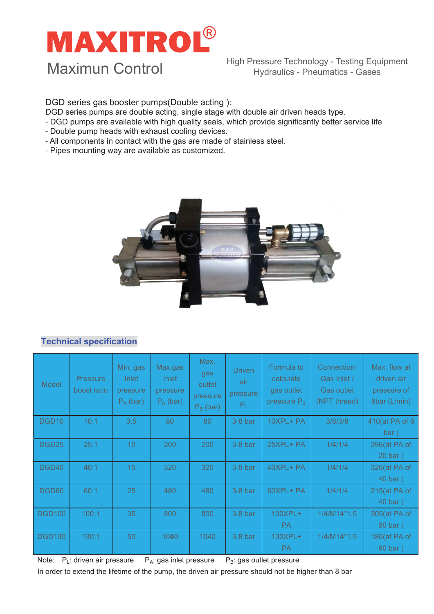### **MAXITROL®** Maximun Control

DGD series gas booster pumps(Double acting ):

- DGD series pumps are double acting, single stage with double air driven heads type.
- DGD pumps are available with high quality seals, which provide significantly better service life
- Double pump heads with exhaust cooling devices.
- All components in contact with the gas are made of stainless steel.
- Pipes mounting way are available as customized.



#### **Technical specification**

| Model             | <b>Pressure</b><br>boost ratio | Min. gas<br><b>Inlet</b><br>pressure<br>$P_A$ (bar) | Max.gas<br><b>Inlet</b><br>pressure<br>$P_A$ (bar) | Max.<br>gas<br>outlet<br>pressure<br>$P_B$ (bar) | <b>Driven</b><br>air<br>pressure<br>$P_L$ | Formula to<br>calculate<br>gas outlet<br>pressure $P_B$ | Connection:<br>Gas Inlet /<br><b>Gas outlet</b><br>(NPT thread) | Max. flow at<br>driven air<br>pressure of<br>6bar (L/min) |
|-------------------|--------------------------------|-----------------------------------------------------|----------------------------------------------------|--------------------------------------------------|-------------------------------------------|---------------------------------------------------------|-----------------------------------------------------------------|-----------------------------------------------------------|
| DGD <sub>10</sub> | 10:1                           | 3.5                                                 | 80                                                 | 80                                               | $3-8$ bar                                 | 10XPL+ PA                                               | 3/8/3/8                                                         | 410(at PA of 6<br>bar)                                    |
| DGD <sub>25</sub> | 25:1                           | 10 <sup>°</sup>                                     | 200                                                | 200                                              | $3-8$ bar                                 | 25XPL+PA                                                | 1/4/1/4                                                         | 396(at PA of<br>$20 \text{ bar}$ )                        |
| DGD40             | 40:1                           | 15                                                  | 320                                                | 320                                              | $3-8$ bar                                 | 40XPL+ PA                                               | 1/4/1/4                                                         | 320(at PA of<br>40 bar)                                   |
| DGD60             | 60:1                           | 25                                                  | 480                                                | 480                                              | $3-8$ bar                                 | 60XPL+ PA                                               | 1/4/1/4                                                         | 215(at PA of<br>40 bar )                                  |
| <b>DGD100</b>     | 100:1                          | 35                                                  | 800                                                | 800                                              | $3-8$ bar                                 | 100XPL+<br>PA.                                          | $1/4/M14*1.5$                                                   | 300(at PA of<br>60 bar)                                   |
| <b>DGD130</b>     | 130:1                          | 50                                                  | 1040                                               | 1040                                             | $3-8b$ ar                                 | 130XPL+<br>PA.                                          | $1/4/M14*1.5$                                                   | 180(at PA of<br>60 bar)                                   |

Note:  $P_L$ : driven air pressure  $P_A$ : gas inlet pressure  $P_B$ : gas outlet pressure

In order to extend the lifetime of the pump, the driven air pressure should not be higher than 8 bar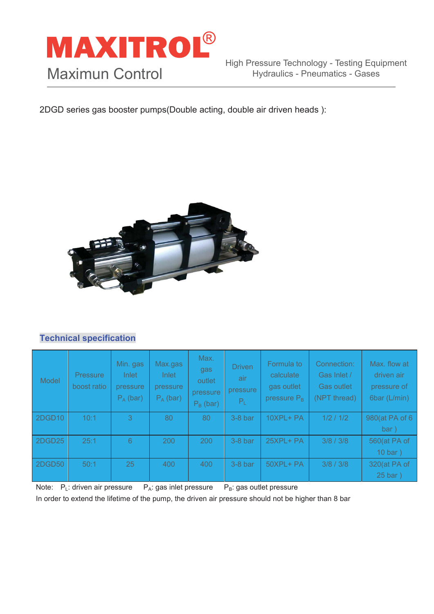

2DGD series gas booster pumps(Double acting, double air driven heads ):



#### **Technical specification**

| Model  | <b>Pressure</b><br>boost ratio | Min. gas<br>Inlet<br>pressure<br>$P_A$ (bar) | Max.gas<br>Inlet<br>pressure<br>$P_A$ (bar) | Max.<br>gas<br>outlet<br>pressure<br>$P_B$ (bar) | <b>Driven</b><br>air<br>pressure<br>$P_L$ | Formula to<br>calculate<br>gas outlet<br>pressure $P_B$ | Connection:<br>Gas Inlet /<br><b>Gas outlet</b><br>(NPT thread) | Max. flow at<br>driven air<br>pressure of<br>6bar (L/min) |
|--------|--------------------------------|----------------------------------------------|---------------------------------------------|--------------------------------------------------|-------------------------------------------|---------------------------------------------------------|-----------------------------------------------------------------|-----------------------------------------------------------|
| 2DGD10 | 10:1                           | 3.                                           | 80                                          | 80                                               | $3-8$ bar                                 | 10XPL+ PA                                               | 1/2 / 1/2                                                       | 980(at PA of 6                                            |
|        |                                |                                              |                                             |                                                  |                                           |                                                         |                                                                 | bar)                                                      |
| 2DGD25 | 25:1                           | 6                                            | 200                                         | 200                                              | $3-8$ bar                                 | $25XPL+PA$                                              | 3/8 / 3/8                                                       | 560(at PA of                                              |
|        |                                |                                              |                                             |                                                  |                                           |                                                         |                                                                 | $10bar$ )                                                 |
| 2DGD50 | 50:1                           | 25                                           | 400                                         | 400                                              | $3-8$ bar                                 | 50XPL+ PA                                               | 3/8 / 3/8                                                       | 320(at PA of                                              |
|        |                                |                                              |                                             |                                                  |                                           |                                                         |                                                                 | $25 \text{ bar}$ )                                        |

Note:  $P_L$ : driven air pressure  $P_A$ : gas inlet pressure  $P_B$ : gas outlet pressure In order to extend the lifetime of the pump, the driven air pressure should not be higher than 8 bar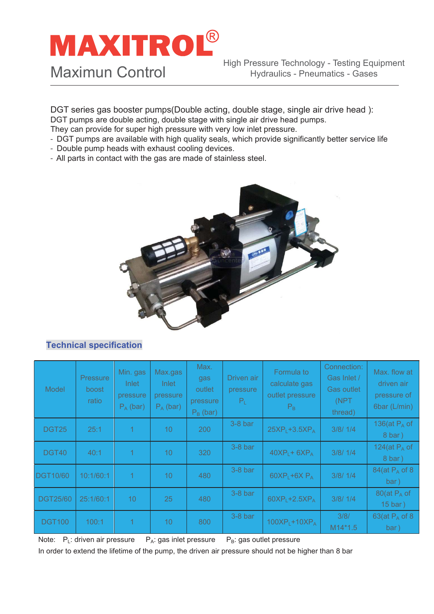# **MAXITROL®**

Maximun Control

DGT series gas booster pumps(Double acting, double stage, single air drive head ): DGT pumps are double acting, double stage with single air drive head pumps.

They can provide for super high pressure with very low inlet pressure.

- DGT pumps are available with high quality seals, which provide significantly better service life
- Double pump heads with exhaust cooling devices.
- All parts in contact with the gas are made of stainless steel.



#### **Technical specification**

| Model           | <b>Pressure</b><br>boost<br><b>ratio</b> | Min. gas<br><b>Inlet</b><br>pressure<br>$P_A$ (bar) | Max.gas<br>Inlet<br>pressure<br>$P_A$ (bar) | Max.<br>gas<br>outlet<br>pressure<br>$P_B$ (bar) | Driven air<br>pressure<br>$P_L$ | Formula to<br>calculate gas<br>outlet pressure<br>$P_{B}$ | Connection:<br>Gas Inlet /<br><b>Gas outlet</b><br>(NPT<br>thread) | Max. flow at<br>driven air<br>pressure of<br>6bar (L/min) |
|-----------------|------------------------------------------|-----------------------------------------------------|---------------------------------------------|--------------------------------------------------|---------------------------------|-----------------------------------------------------------|--------------------------------------------------------------------|-----------------------------------------------------------|
| <b>DGT25</b>    | 25:1                                     |                                                     | 10                                          | 200                                              | $3-8$ bar                       | $25XP1+3.5XPA$                                            | 3/8/1/4                                                            | 136(at $P_A$ of<br>8 bar)                                 |
| DGT40           | 40:1                                     |                                                     | 10                                          | 320                                              | $3-8$ bar                       | $40XP1 + 6XPA$                                            | 3/8/1/4                                                            | 124(at $P_A$ of<br>8 bar)                                 |
| <b>DGT10/60</b> | 10:1/60:1                                | 1                                                   | 10                                          | 480                                              | $3-8b$ ar                       | $60XP_L+6X P_A$                                           | 3/8/1/4                                                            | 84(at $P_A$ of 8<br>bar)                                  |
| <b>DGT25/60</b> | 25:1/60:1                                | 10                                                  | 25                                          | 480                                              | $3-8b$ ar                       | $60XP1+2.5XPA$                                            | 3/8/1/4                                                            | 80(at $P_A$ of<br>15 bar)                                 |
| <b>DGT100</b>   | 100:1                                    |                                                     | 10                                          | 800                                              | $3-8$ bar                       | $100XP1+10XPA$                                            | 3/8/<br>$M14*1.5$                                                  | 63(at $P_A$ of 8<br>bar)                                  |

Note:  $P_1$ : driven air pressure  $P_A$ : gas inlet pressure  $P_B$ : gas outlet pressure In order to extend the lifetime of the pump, the driven air pressure should not be higher than 8 bar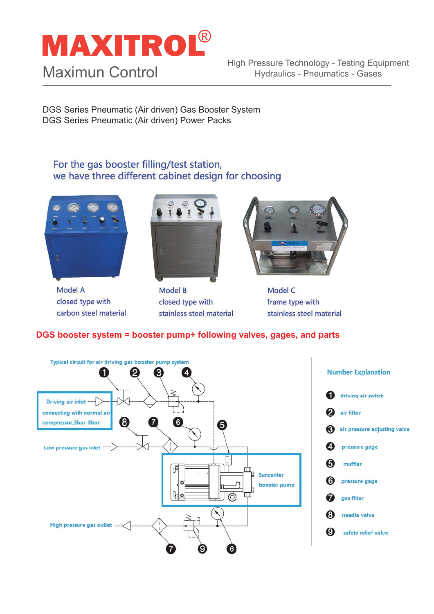## **MAXITROL®**

### Maximun Control

High Pressure Technology - Testing Equipment Hydraulics - Pneumatics - Gases

DGS Series Pneumatic (Air driven) Gas Booster System DGS Series Pneumatic (Air driven) Power Packs

#### For the gas booster filling/test station, we have three different cabinet design for choosing



**Model A** closed type with carbon steel material



**Model B** closed type with stainless steel material



**Model C** frame type with stainless steel material

#### **DGS booster system = booster pump+ following valves, gages, and parts**